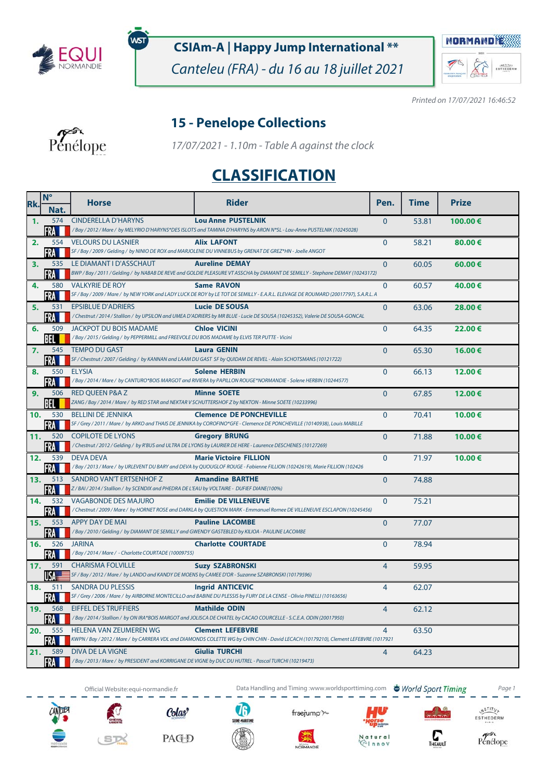

พรา

### **CSIAm-A | Happy Jump International \*\***

Canteleu (FRA) - du 16 au 18 juillet 2021



Printed on 17/07/2021 16:46:52

#### **15 - Penelope Collections**



17/07/2021 - 1.10m - Table A against the clock

# **CLASSIFICATION**

| Rk.            | $N^{\circ}$ | <b>Horse</b>                                                                                                     | <b>Rider</b>                                                                                                                                                 | Pen.           | <b>Time</b> | <b>Prize</b> |
|----------------|-------------|------------------------------------------------------------------------------------------------------------------|--------------------------------------------------------------------------------------------------------------------------------------------------------------|----------------|-------------|--------------|
|                | Nat.        |                                                                                                                  |                                                                                                                                                              |                |             |              |
| $\mathbf{1}$ . | 574<br>FRA  | <b>CINDERELLA D'HARYNS</b>                                                                                       | <b>Lou Anne PUSTELNIK</b><br>/Bay / 2012 / Mare / by MELYRIO D'HARYNS*DES ISLOTS and TAMINA D'HARYNS by ARON N*SL - Lou-Anne PUSTELNIK (10245028)            | $\mathbf{0}$   | 53.81       | 100.00€      |
| 2.             | 554         | <b>VELOURS DU LASNIER</b>                                                                                        | <b>Alix LAFONT</b>                                                                                                                                           | $\mathbf{0}$   | 58.21       | 80.00€       |
|                | FRA         |                                                                                                                  | SF / Bay / 2009 / Gelding / by NINIO DE ROX and MARJOLENE DU VINNEBUS by GRENAT DE GREZ*HN - Joelle ANGOT                                                    |                |             |              |
| 3.             | 535         | LE DIAMANT I D'ASSCHAUT                                                                                          | <b>Aureline DEMAY</b>                                                                                                                                        | $\Omega$       | 60.05       | 60.00€       |
|                | FRA         |                                                                                                                  | BWP / Bay / 2011 / Gelding / by NABAB DE REVE and GOLDIE PLEASURE VT ASSCHA by DIAMANT DE SEMILLY - Stephane DEMAY (10243172)                                |                |             |              |
| 4.             | 580<br>FRA  | <b>VALKYRIE DE ROY</b>                                                                                           | <b>Same RAVON</b><br>SF / Bay / 2009 / Mare / by NEW YORK and LADY LUCK DE ROY by LE TOT DE SEMILLY - E.A.R.L. ELEVAGE DE ROUMARD (20017797), S.A.R.L. A     | $\mathbf{0}$   | 60.57       | 40.00€       |
| 5.             | 531         | <b>EPSIBLUE D'ADRIERS</b>                                                                                        | <b>Lucie DE SOUSA</b>                                                                                                                                        | $\mathbf{0}$   | 63.06       | 28.00€       |
|                | FRA M       |                                                                                                                  | /Chestnut/2014/Stallion/by UPSILON and UMEA D'ADRIERS by MR BLUE - Lucie DE SOUSA (10245352), Valerie DE SOUSA-GONCAL                                        |                |             |              |
| 6.             | 509         | JACKPOT DU BOIS MADAME                                                                                           | <b>Chloe VICINI</b>                                                                                                                                          | $\Omega$       | 64.35       | 22.00€       |
|                | BEL         | /Bay / 2015 / Gelding / by PEPPERMILL and FREEVOLE DU BOIS MADAME by ELVIS TER PUTTE - Vicini                    |                                                                                                                                                              |                |             |              |
| 7.             | 545<br>FRA  | <b>TEMPO DU GAST</b>                                                                                             | <b>Laura GENIN</b><br>SF / Chestnut / 2007 / Gelding / by KANNAN and LAAM DU GAST SF by QUIDAM DE REVEL - Alain SCHOTSMANS (10121722)                        | $\Omega$       | 65.30       | 16.00€       |
| 8.             |             | 550 ELYSIA                                                                                                       | <b>Solene HERBIN</b>                                                                                                                                         | $\mathbf{0}$   | 66.13       | 12.00€       |
|                | FRA I       |                                                                                                                  | /Bay / 2014 / Mare / by CANTURO*BOIS MARGOT and RIVIERA by PAPILLON ROUGE*NORMANDIE - Solene HERBIN (10244577)                                               |                |             |              |
| 9.             | 506         | <b>RED OUEEN P&amp;A Z</b>                                                                                       | <b>Minne SOETE</b>                                                                                                                                           | $\Omega$       | 67.85       | 12.00€       |
|                | BEL         |                                                                                                                  | ZANG / Bay / 2014 / Mare / by RED STAR and NEKTAR V SCHUTTERSHOF Z by NEKTON - Minne SOETE (10233996)                                                        |                |             |              |
| 10.            | 530         | <b>BELLINI DE JENNIKA</b>                                                                                        | <b>Clemence DE PONCHEVILLE</b><br>SF / Grey / 2011 / Mare / by ARKO and THAIS DE JENNIKA by COROFINO*GFE - Clemence DE PONCHEVILLE (10140938), Louis MABILLE | $\mathbf{0}$   | 70.41       | 10.00€       |
| 11.            | FRA<br>520  | <b>COPILOTE DE LYONS</b>                                                                                         | <b>Gregory BRUNG</b>                                                                                                                                         | $\Omega$       | 71.88       | 10.00€       |
|                | FRA I       |                                                                                                                  | / Chestnut / 2012 / Gelding / by R'BUS and ULTRA DE LYONS by LAURIER DE HERE - Laurence DESCHENES (10127269)                                                 |                |             |              |
| 12.            | 539         | <b>DEVA DEVA</b>                                                                                                 | <b>Marie Victoire FILLION</b>                                                                                                                                | $\Omega$       | 71.97       | 10.00€       |
|                | FRA         |                                                                                                                  | /Bay / 2013 / Mare / by URLEVENT DU BARY and DEVA by QUOUGLOF ROUGE - Fabienne FILLION (10242619), Marie FILLION (102426                                     |                |             |              |
| 13.            | 513<br>FRA  | SANDRO VAN'T ERTSENHOF Z<br>Z/BAI/2014/Stallion/ by SCENDIX and PHEDRA DE L'EAU by VOLTAIRE - DUFIEF DIANE(100%) | <b>Amandine BARTHE</b>                                                                                                                                       | $\Omega$       | 74.88       |              |
| 14.            | 532         | <b>VAGABONDE DES MAJURO</b>                                                                                      | <b>Emilie DE VILLENEUVE</b>                                                                                                                                  | $\Omega$       | 75.21       |              |
|                | FRA         |                                                                                                                  | / Chestnut / 2009 / Mare / by HORNET ROSE and DARKLA by QUESTION MARK - Emmanuel Romee DE VILLENEUVE ESCLAPON (10245456)                                     |                |             |              |
| 15.            | 553         | APPY DAY DE MAI                                                                                                  | <b>Pauline LACOMBE</b>                                                                                                                                       | $\Omega$       | 77.07       |              |
|                | FRA         | / Bay / 2010 / Gelding / by DIAMANT DE SEMILLY and GWENDY GASTEBLED by KILIOA - PAULINE LACOMBE                  |                                                                                                                                                              |                |             |              |
| 16.            | 526         | <b>JARINA</b><br>/Bay / 2014 / Mare / - Charlotte COURTADE (10009755)                                            | <b>Charlotte COURTADE</b>                                                                                                                                    | $\mathbf{0}$   | 78.94       |              |
| 17.            | FRA<br>591  | <b>CHARISMA FOLVILLE</b>                                                                                         | <b>Suzy SZABRONSKI</b>                                                                                                                                       | $\overline{4}$ | 59.95       |              |
|                | USA         | SF / Bay / 2012 / Mare / by LANDO and KANDY DE MOENS by CAMEE D'OR - Suzanne SZABRONSKI (10179596)               |                                                                                                                                                              |                |             |              |
| 18.            | 511         | <b>SANDRA DU PLESSIS</b>                                                                                         | <b>Ingrid ANTICEVIC</b>                                                                                                                                      | $\overline{4}$ | 62.07       |              |
|                | FRA         |                                                                                                                  | SF / Grey / 2006 / Mare / by AIRBORNE MONTECILLO and BABINE DU PLESSIS by FURY DE LA CENSE - Olivia PINELLI (10163656)                                       |                |             |              |
| 19.            | 568         | <b>EIFFEL DES TRUFFIERS</b>                                                                                      | <b>Mathilde ODIN</b><br>/Bay / 2014 / Stallion / by ON IRA*BOIS MARGOT and JOLISCA DE CHATEL by CACAO COURCELLE - S.C.E.A. ODIN (20017950)                   | $\overline{4}$ | 62.12       |              |
| 20.            | FRA<br>555  | <b>HELENA VAN ZEUMEREN WG</b>                                                                                    | <b>Clement LEFEBVRE</b>                                                                                                                                      | $\overline{4}$ | 63.50       |              |
|                | FRA         |                                                                                                                  | KWPN / Bay / 2012 / Mare / by CARRERA VDL and DIAMONDS COLETTE WG by CHIN CHIN - David LECACH (10179210), Clement LEFEBVRE (1017921                          |                |             |              |
| 21.            | 589         | <b>DIVA DE LA VIGNE</b>                                                                                          | Giulia TURCHI                                                                                                                                                | 4              | 64.23       |              |
|                | FRA I       |                                                                                                                  | /Bay/2013/Mare/ by PRESIDENT and KORRIGANE DE VIGNE by DUC DU HUTREL - Pascal TURCHI (10219473)                                                              |                |             |              |













frsejump<sup>-</sup>

NORMANDE





 $\begin{matrix} \sqrt{N} \frac{S}{T} & T \\ \sqrt{N} & T\end{matrix}$